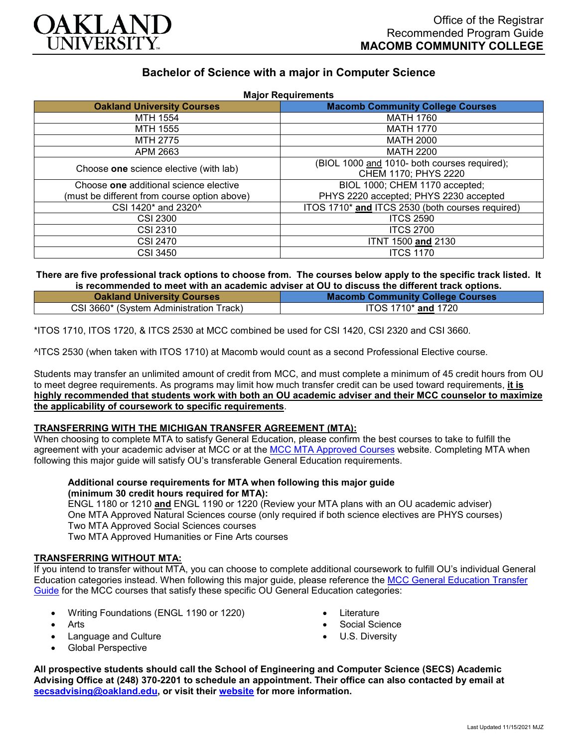

# **Bachelor of Science with a major in Computer Science**

| <b>Major Requirements</b>                    |                                                  |
|----------------------------------------------|--------------------------------------------------|
| <b>Oakland University Courses</b>            | <b>Macomb Community College Courses</b>          |
| MTH 1554                                     | <b>MATH 1760</b>                                 |
| <b>MTH 1555</b>                              | <b>MATH 1770</b>                                 |
| MTH 2775                                     | MATH 2000                                        |
| APM 2663                                     | <b>MATH 2200</b>                                 |
| Choose one science elective (with lab)       | (BIOL 1000 and 1010- both courses required);     |
|                                              | CHEM 1170; PHYS 2220                             |
| Choose one additional science elective       | BIOL 1000; CHEM 1170 accepted;                   |
| (must be different from course option above) | PHYS 2220 accepted; PHYS 2230 accepted           |
| CSI 1420* and 2320^                          | ITOS 1710* and ITCS 2530 (both courses required) |
| <b>CSI 2300</b>                              | <b>ITCS 2590</b>                                 |
| CSI 2310                                     | <b>ITCS 2700</b>                                 |
| <b>CSI 2470</b>                              | <b>ITNT 1500 and 2130</b>                        |
| CSI 3450                                     | <b>ITCS 1170</b>                                 |

# **There are five professional track options to choose from. The courses below apply to the specific track listed. It is recommended to meet with an academic adviser at OU to discuss the different track options.**

| <b>Oakland University Courses</b>       | <b>Macomb Community College Courses</b> |
|-----------------------------------------|-----------------------------------------|
| CSI 3660* (System Administration Track) | ITOS 1710* and 1720                     |

\*ITOS 1710, ITOS 1720, & ITCS 2530 at MCC combined be used for CSI 1420, CSI 2320 and CSI 3660.

^ITCS 2530 (when taken with ITOS 1710) at Macomb would count as a second Professional Elective course.

Students may transfer an unlimited amount of credit from MCC, and must complete a minimum of 45 credit hours from OU to meet degree requirements. As programs may limit how much transfer credit can be used toward requirements, **it is highly recommended that students work with both an OU academic adviser and their MCC counselor to maximize the applicability of coursework to specific requirements**.

## **TRANSFERRING WITH THE MICHIGAN TRANSFER AGREEMENT (MTA):**

When choosing to complete MTA to satisfy General Education, please confirm the best courses to take to fulfill the agreement with your academic adviser at MCC or at the [MCC MTA Approved Courses](https://www.macomb.edu/resources/transfer-articulation/attachments/mta-macrao-course-list.pdf) website. Completing MTA when following this major guide will satisfy OU's transferable General Education requirements.

# **Additional course requirements for MTA when following this major guide (minimum 30 credit hours required for MTA):**

ENGL 1180 or 1210 **and** ENGL 1190 or 1220 (Review your MTA plans with an OU academic adviser) One MTA Approved Natural Sciences course (only required if both science electives are PHYS courses) Two MTA Approved Social Sciences courses Two MTA Approved Humanities or Fine Arts courses

#### **TRANSFERRING WITHOUT MTA:**

If you intend to transfer without MTA, you can choose to complete additional coursework to fulfill OU's individual General Education categories instead. When following this major guide, please reference the [MCC General Education Transfer](https://www.oakland.edu/Assets/Oakland/program-guides/macomb-community-college/university-general-education-requirements/MCC%20Gen%20Ed.pdf)  [Guide](https://www.oakland.edu/Assets/Oakland/program-guides/macomb-community-college/university-general-education-requirements/MCC%20Gen%20Ed.pdf) for the MCC courses that satisfy these specific OU General Education categories:

- Writing Foundations (ENGL 1190 or 1220)
- Arts
- Language and Culture
- Global Perspective
- **Literature**
- Social Science
- U.S. Diversity

**All prospective students should call the School of Engineering and Computer Science (SECS) Academic Advising Office at (248) 370-2201 to schedule an appointment. Their office can also contacted by email at [secsadvising@oakland.edu,](mailto:secsadvising@oakland.edu) or visit their [website](https://wwwp.oakland.edu/secs/advising/) for more information.**